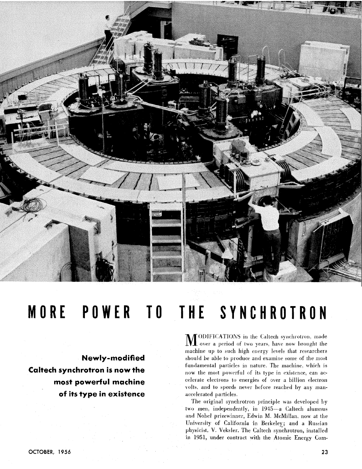

## MORE POWER TO THE SYNCHROTRON

Newly-modified **Caltech synchrotron is now the** most powerful machine of its type in existence

**SECONDET CATIONS** in the Caltech synchrotron, made over a period of two years, have now brought the machine up to such high energy levels that researchers should be able to produce and examine some of the most fundamental particles in nature. The machine, which is now the most powerful of its type in existence, can accelerate electrons to energies of over a billion electron volts, and to speeds never before reached by any manaccelerated particles.

The original synchrotron principle was developed by two men, independently, in 1945-a Caltech alumnus and Nobel prizewinner, Edwin M. McMillan, now at the University of California in Berkeley; and a Russian physicist, V. Veksler. The Caltech synchrotron, installed in 1951, under contract with the Atomic Energy Com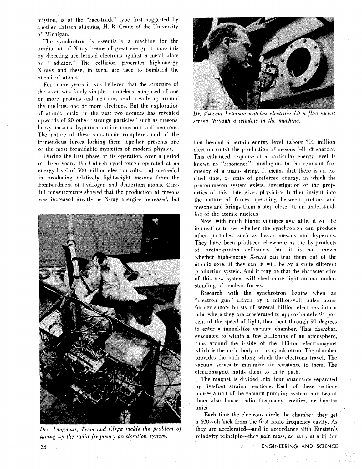mission, is of the "race-track" type first suggested by another Caltech alumnus, H. R. Crane of the University of Michigan.

The synchrotron is essentially a machine for the production of X-rav beams of great energy. It does this hy directing accelerated electrons against a metal plate or "radiator." The collision generates high-energy X-rays and these, in turn, are used to bombard the nuclei of atoms.

For many years it was believed that the structure of the atom was fairly simple-a nucleus composed of one or more protons and neutrons and. revolving around the nucleus, one or more electrons. But the exploration of atomic nuclei in the past two decades has revealed upwards of 20 other "strange particles" such as mesons. heavy mesons, hyperons, anti-protons and anti-neutrons. The nature of these sub-atomic complexes and of the tremendous forces locking them together presents one of the most formidable mysteries of modern physics.

During the first phase of its operation, over a period of three years, the Caltech synchrotron operated at an energy level of 500 million electron volts, and succeeded in producing relatively lightweight mesons from the bombardment of hydrogen and deuterium atoms. Careful measurements showed that the production of mesons was increased greatly as X-ray energies increased, but



tuning up the *radio frequency acceleration system*, relativity principle-they gain mass, actually at a billion



Dr. Vincent Peterson watches electrons hit a fluorescent *screen through a window in the machine.* 

that beyond a certain energy level (about 300 million electron volts) ihe production of mesons fell oft sharply. This enhanced response at a particular energy level is known as "resonance"-analogous to the resonant frequency of a piano string. ft means that there is an excited state. or state of preferred energy, in which the proton-meson system exists. Investigation of the properties of this state gives physicists further insight into the nature of forces operating between protons and mesons and brings them a step closer to an understanding of the atomic nucleus.

Now, with much higher energies available. it will be interesting to see whether the synchrotron can produce other particles, such as heavy mesons and hyperons. They have been produced elsewhere as the by-products of proton-proton collisions, but it is not known whether high-energy X-rays can tear them out of the atomic core. If they can, it will be by a quite different production system. 4nd it may he that the characteristics of this new system will shed more light on our understanding of nuclear forces.

Research with the synchrotron begins when an "electron gun" driven by a million-volt pulse transformer shoots bursts of several billion electrons into a tube where they are accelerated to approximately 91 percent of the speed of light, then bent through 90 degrees **to** enter a tunnel-like vacuum chamber. This chamber. evacuated to within a few billionths of an atmosphere, runs around the inside of the 140-ton electromagnet which is the main body of the synchrotron. The chamber provides the path along which the electrons travel. The vacuum serves to minimize air resistance to them. The electromagnet holds them to their path.

The magnet is divided into four quadrants separated by five-foot straight sections. Each of these sections houses a unit of the vacuum pumping system, and two of them also house radio frequency cavities, or booster units.

Each time the electrons circle the chamber, they get a 600-volt kick from the first radio frequency cavity. 4s Drs. Langmuir. Teem and Clegg tackle the problem of they are accelerated—and in accordance with Einstein's